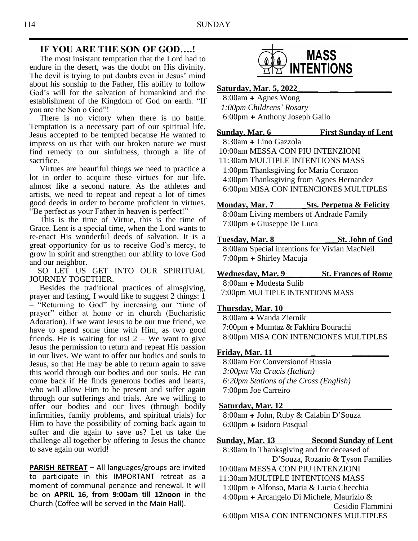### **IF YOU ARE THE SON OF GOD….!**

 The most insistant temptation that the Lord had to endure in the desert, was the doubt on His divinity. The devil is trying to put doubts even in Jesus' mind about his sonship to the Father, His ability to follow God's will for the salvation of humankind and the establishment of the Kingdom of God on earth. "If you are the Son o God"!

 There is no victory when there is no battle. Temptation is a necessary part of our spiritual life. Jesus accepted to be tempted because He wanted to impress on us that with our broken nature we must find remedy to our sinfulness, through a life of sacrifice.

 Virtues are beautiful things we need to practice a lot in order to acquire these virtues for our life, almost like a second nature. As the athletes and artists, we need to repeat and repeat a lot of times good deeds in order to become proficient in virtues. "Be perfect as your Father in heaven is perfect!"

 This is the time of Virtue, this is the time of Grace. Lent is a special time, when the Lord wants to re-enact His wonderful deeds of salvation. It is a great opportunity for us to receive God's mercy, to grow in spirit and strengthen our ability to love God and our neighbor.

 SO LET US GET INTO OUR SPIRITUAL JOURNEY TOGETHER.

 Besides the traditional practices of almsgiving, prayer and fasting, I would like to suggest 2 things: 1 – "Returning to God" by increasing our "time of prayer" either at home or in church (Eucharistic Adoration). If we want Jesus to be our true friend, we have to spend some time with Him, as two good friends. He is waiting for us!  $2 -$  We want to give Jesus the permission to return and repeat His passion in our lives. We want to offer our bodies and souls to Jesus, so that He may be able to return again to save this world through our bodies and our souls. He can come back if He finds generous bodies and hearts, who will allow Him to be present and suffer again through our sufferings and trials. Are we willing to offer our bodies and our lives (through bodily infirmities, family problems, and spiritual trials) for Him to have the possibility of coming back again to suffer and die again to save us? Let us take the challenge all together by offering to Jesus the chance to save again our world!

**PARISH RETREAT** – All languages/groups are invited to participate in this IMPORTANT retreat as a moment of communal penance and renewal. It will be on **APRIL 16, from 9:00am till 12noon** in the Church (Coffee will be served in the Main Hall).



**Saturday, Mar. 5, 2022\_\_\_\_\_ \_\_ \_\_\_\_\_\_\_\_\_**

8:00am **+** Agnes Wong *1:00pm Childrens' Rosary* 6:00pm **+** Anthony Joseph Gallo

## **Sunday, Mar. 6 First Sunday of Lent** 8:30am **+** Lino Gazzola 10:00am MESSA CON PIU INTENZIONI 11:30am MULTIPLE INTENTIONS MASS 1:00pm Thanksgiving for Maria Corazon 4:00pm Thanksgiving from Agnes Hernandez 6:00pm MISA CON INTENCIONES MULTIPLES

#### **Monday, Mar. 7 Sts. Perpetua & Felicity**

8:00am Living members of Andrade Family 7:00pm **+** Giuseppe De Luca

- **Tuesday, Mar. 8 \_\_\_St. John of God** 8:00am Special intentions for Vivian MacNeil 7:00pm **+** Shirley Macuja
- **Wednesday, Mar. 9\_\_ \_ \_\_\_St. Frances of Rome**

8:00am **+** Modesta Sulib 7:00pm MULTIPLE INTENTIONS MASS

### **Thursday, Mar. 10**

 8:00am **+** Wanda Ziernik 7:00pm **+** Mumtaz & Fakhira Bourachi 8:00pm MISA CON INTENCIONES MULTIPLES

### **Friday, Mar. 11**

8:00am For Conversionof Russia  *3:00pm Via Crucis (Italian) 6:20pm Stations of the Cross (English)* 7:00pm Joe Carreiro

### Saturday, Mar. 12

8:00am **+** John, Ruby & Calabin D'Souza 6:00pm **+** Isidoro Pasqual

### **Sunday, Mar. 13 Second Sunday of Lent**

8:30am In Thanksgiving and for deceased of D'Souza, Rozario & Tyson Families

- 10:00am MESSA CON PIU INTENZIONI
- 11:30am MULTIPLE INTENTIONS MASS
- 1:00pm **+** Alfonso, Maria & Lucia Checchia

4:00pm **+** Arcangelo Di Michele, Maurizio &

Cesidio Flammini

6:00pm MISA CON INTENCIONES MULTIPLES